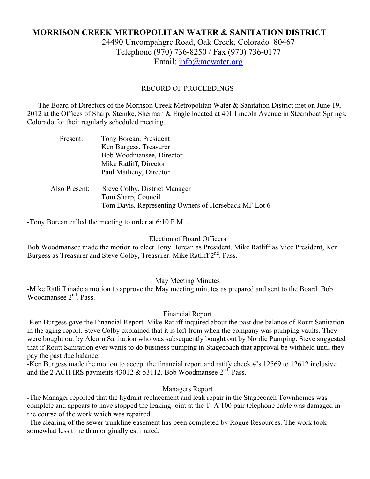# **MORRISON CREEK METROPOLITAN WATER & SANITATION DISTRICT** 24490 Uncompahgre Road, Oak Creek, Colorado 80467

Telephone (970) 736-8250 / Fax (970) 736-0177 Email: info@mcwater.org

### RECORD OF PROCEEDINGS

 The Board of Directors of the Morrison Creek Metropolitan Water & Sanitation District met on June 19, 2012 at the Offices of Sharp, Steinke, Sherman & Engle located at 401 Lincoln Avenue in Steamboat Springs, Colorado for their regularly scheduled meeting.

| Present:      | Tony Borean, President                               |
|---------------|------------------------------------------------------|
|               | Ken Burgess, Treasurer                               |
|               | Bob Woodmansee, Director                             |
|               | Mike Ratliff, Director                               |
|               | Paul Matheny, Director                               |
| Also Present: | Steve Colby, District Manager                        |
|               | Tom Sharp, Council                                   |
|               | Tom Davis, Representing Owners of Horseback MF Lot 6 |

-Tony Borean called the meeting to order at 6:10 P.M...

#### Election of Board Officers

Bob Woodmansee made the motion to elect Tony Borean as President. Mike Ratliff as Vice President, Ken Burgess as Treasurer and Steve Colby, Treasurer. Mike Ratliff 2<sup>nd</sup>. Pass.

### May Meeting Minutes

-Mike Ratliff made a motion to approve the May meeting minutes as prepared and sent to the Board. Bob Woodmansee 2<sup>nd</sup>, Pass.

### Financial Report

-Ken Burgess gave the Financial Report. Mike Ratliff inquired about the past due balance of Routt Sanitation in the aging report. Steve Colby explained that it is left from when the company was pumping vaults. They were bought out by Alcorn Sanitation who was subsequently bought out by Nordic Pumping. Steve suggested that if Routt Sanitation ever wants to do business pumping in Stagecoach that approval be withheld until they pay the past due balance.

-Ken Burgess made the motion to accept the financial report and ratify check #'s 12569 to 12612 inclusive and the 2 ACH IRS payments  $43012 \& 53112$ . Bob Woodmansee  $2<sup>nd</sup>$ . Pass.

## Managers Report

-The Manager reported that the hydrant replacement and leak repair in the Stagecoach Townhomes was complete and appears to have stopped the leaking joint at the T. A 100 pair telephone cable was damaged in the course of the work which was repaired.

-The clearing of the sewer trunkline easement has been completed by Rogue Resources. The work took somewhat less time than originally estimated.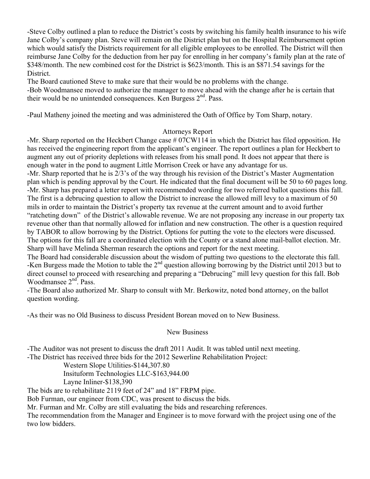-Steve Colby outlined a plan to reduce the District's costs by switching his family health insurance to his wife Jane Colby's company plan. Steve will remain on the District plan but on the Hospital Reimbursement option which would satisfy the Districts requirement for all eligible employees to be enrolled. The District will then reimburse Jane Colby for the deduction from her pay for enrolling in her company's family plan at the rate of \$348/month. The new combined cost for the District is \$623/month. This is an \$871.54 savings for the District.

The Board cautioned Steve to make sure that their would be no problems with the change.

-Bob Woodmansee moved to authorize the manager to move ahead with the change after he is certain that their would be no unintended consequences. Ken Burgess 2<sup>nd</sup>. Pass.

-Paul Matheny joined the meeting and was administered the Oath of Office by Tom Sharp, notary.

### Attorneys Report

-Mr. Sharp reported on the Heckbert Change case # 07CW114 in which the District has filed opposition. He has received the engineering report from the applicant's engineer. The report outlines a plan for Heckbert to augment any out of priority depletions with releases from his small pond. It does not appear that there is enough water in the pond to augment Little Morrison Creek or have any advantage for us.

-Mr. Sharp reported that he is 2/3's of the way through his revision of the District's Master Augmentation plan which is pending approval by the Court. He indicated that the final document will be 50 to 60 pages long. -Mr. Sharp has prepared a letter report with recommended wording for two referred ballot questions this fall. The first is a debrucing question to allow the District to increase the allowed mill levy to a maximum of 50 mils in order to maintain the District's property tax revenue at the current amount and to avoid further "ratcheting down" of the District's allowable revenue. We are not proposing any increase in our property tax revenue other than that normally allowed for inflation and new construction. The other is a question required by TABOR to allow borrowing by the District. Options for putting the vote to the electors were discussed. The options for this fall are a coordinated election with the County or a stand alone mail-ballot election. Mr. Sharp will have Melinda Sherman research the options and report for the next meeting.

The Board had considerable discussion about the wisdom of putting two questions to the electorate this fall. -Ken Burgess made the Motion to table the  $2<sup>nd</sup>$  question allowing borrowing by the District until 2013 but to direct counsel to proceed with researching and preparing a "Debrucing" mill levy question for this fall. Bob Woodmansee 2<sup>nd</sup>. Pass.

-The Board also authorized Mr. Sharp to consult with Mr. Berkowitz, noted bond attorney, on the ballot question wording.

-As their was no Old Business to discuss President Borean moved on to New Business.

### New Business

-The Auditor was not present to discuss the draft 2011 Audit. It was tabled until next meeting. -The District has received three bids for the 2012 Sewerline Rehabilitation Project:

Western Slope Utilities-\$144,307.80

Insituform Technologies LLC-\$163,944.00

Layne Inliner-\$138,390

The bids are to rehabilitate 2119 feet of 24" and 18" FRPM pipe.

Bob Furman, our engineer from CDC, was present to discuss the bids.

Mr. Furman and Mr. Colby are still evaluating the bids and researching references.

The recommendation from the Manager and Engineer is to move forward with the project using one of the two low bidders.